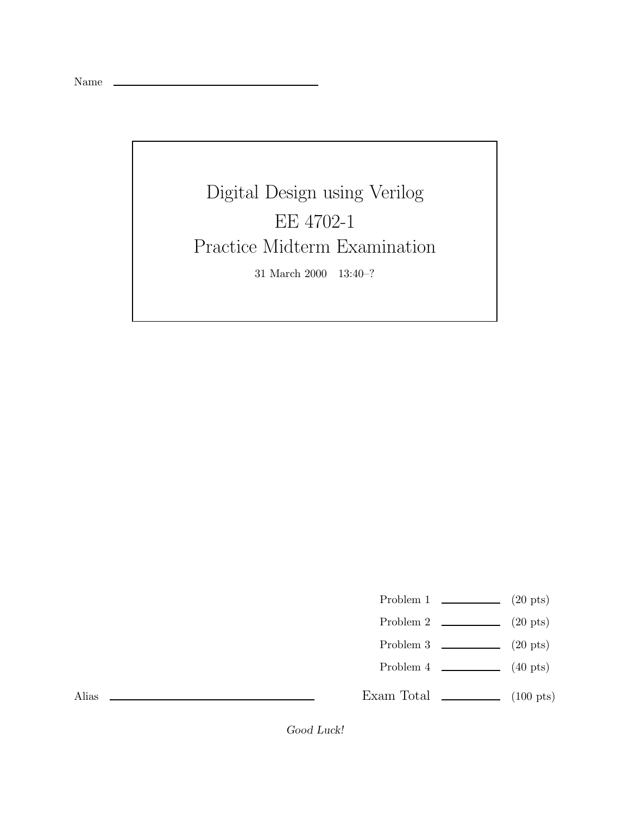Name

Digital Design using Verilog EE 4702-1 Practice Midterm Examination 31 March 2000 13:40–?

Problem 1  $\qquad \qquad$  (20 pts)

- Problem 2  $\qquad \qquad$  (20 pts)
- Problem 3  $\qquad \qquad$  (20 pts)
- Problem 4  $\sim$  (40 pts)

Exam Total  $\qquad \qquad$  (100 pts)

Alias

*Good Luck!*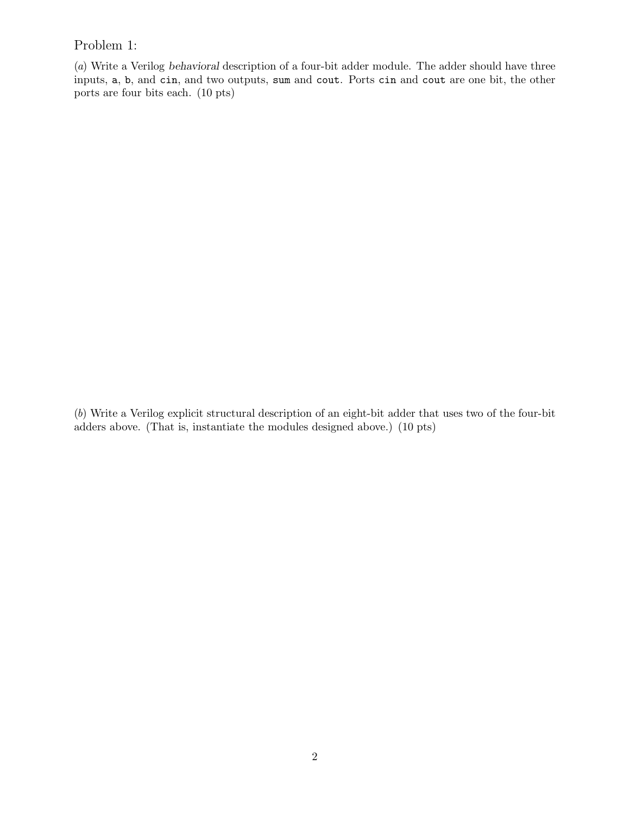## Problem 1:

(a) Write a Verilog *behavioral* description of a four-bit adder module. The adder should have three inputs, a, b, and cin, and two outputs, sum and cout. Ports cin and cout are one bit, the other ports are four bits each. (10 pts)

(b) Write a Verilog explicit structural description of an eight-bit adder that uses two of the four-bit adders above. (That is, instantiate the modules designed above.) (10 pts)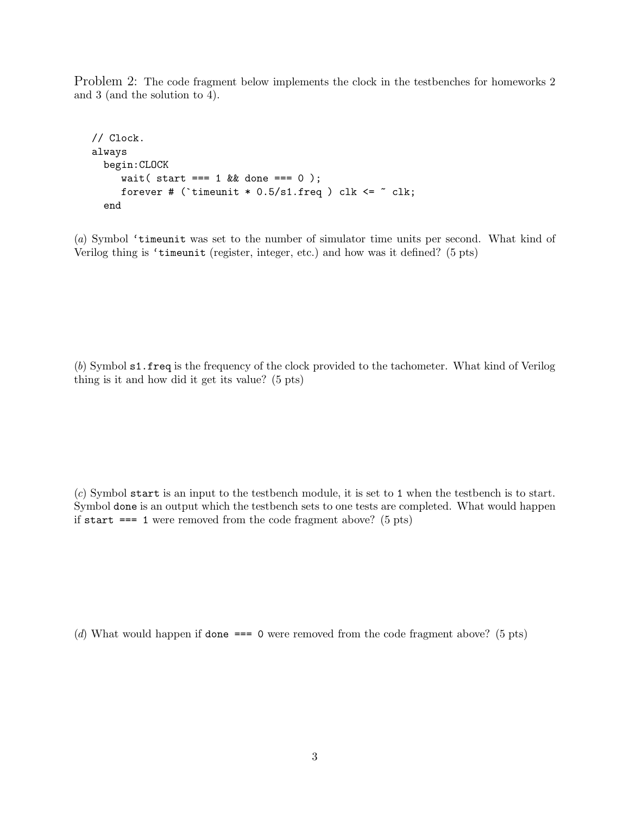Problem 2: The code fragment below implements the clock in the testbenches for homeworks 2 and 3 (and the solution to 4).

```
// Clock.
always
  begin:CLOCK
     wait ( start === 1 \&  done === 0 );
     forever # ('timeunit * 0.5/s1. freq ) clk <= \tilde{ } clk;
  end
```
(a) Symbol 'timeunit was set to the number of simulator time units per second. What kind of Verilog thing is 'timeunit (register, integer, etc.) and how was it defined? (5 pts)

(b) Symbol s1.freq is the frequency of the clock provided to the tachometer. What kind of Verilog thing is it and how did it get its value? (5 pts)

(c) Symbol start is an input to the testbench module, it is set to 1 when the testbench is to start. Symbol done is an output which the testbench sets to one tests are completed. What would happen if start  $== 1$  were removed from the code fragment above? (5 pts)

(d) What would happen if done  $== 0$  were removed from the code fragment above? (5 pts)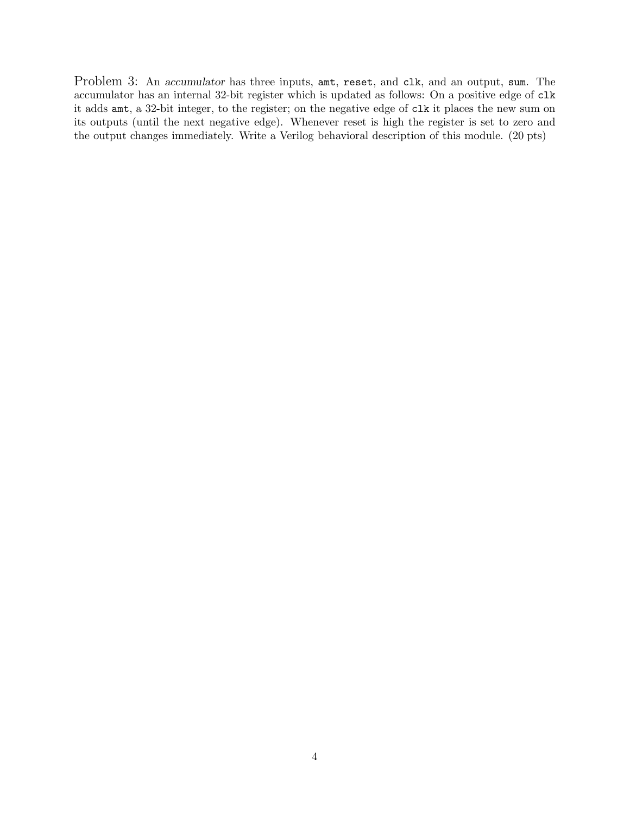Problem 3: An *accumulator* has three inputs, amt, reset, and clk, and an output, sum. The accumulator has an internal 32-bit register which is updated as follows: On a positive edge of clk it adds amt, a 32-bit integer, to the register; on the negative edge of clk it places the new sum on its outputs (until the next negative edge). Whenever reset is high the register is set to zero and the output changes immediately. Write a Verilog behavioral description of this module. (20 pts)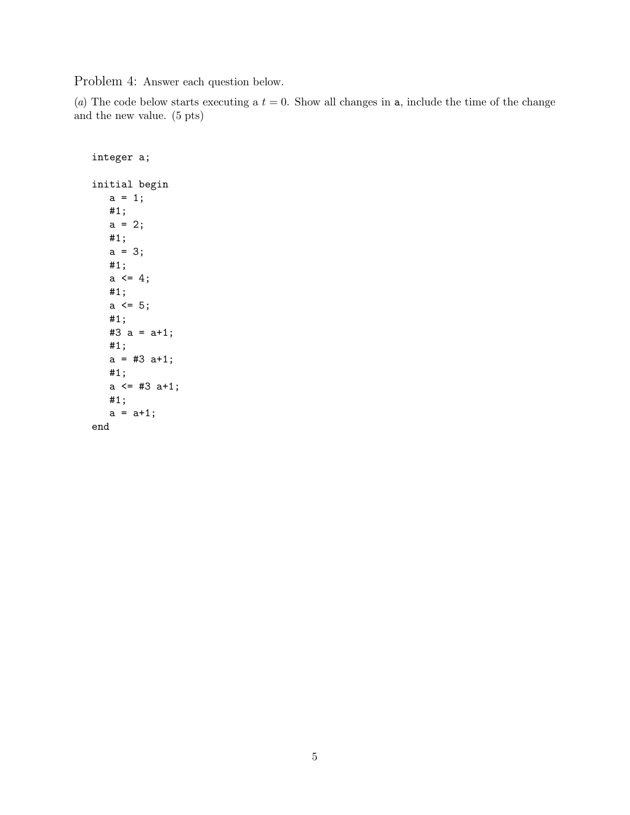Problem 4: Answer each question below.

(a) The code below starts executing a  $t = 0$ . Show all changes in a, include the time of the change and the new value. (5 pts)

```
integer a;
initial begin
   a = 1;#1;
   a = 2;#1;
   a = 3;#1;
   a \leq 4;
   #1;
   a \leq 5;#1;
   #3 a = a+1;
   #1;
   a = #3 a+1;#1;
   a <= #3 a+1;
   #1;
   a = a+1;end
```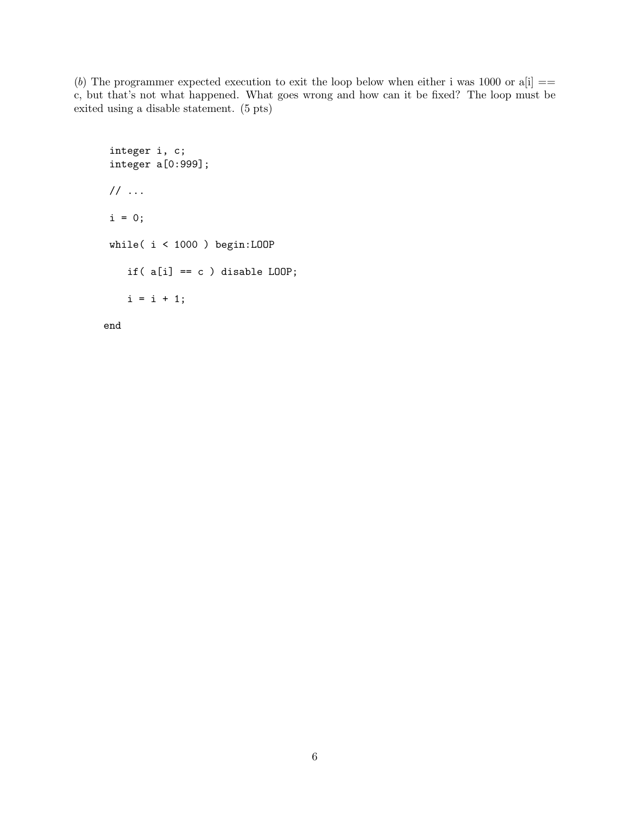(b) The programmer expected execution to exit the loop below when either i was 1000 or  $a[i] ==$ c, but that's not what happened. What goes wrong and how can it be fixed? The loop must be exited using a disable statement. (5 pts)

```
integer i, c;
integer a[0:999];
// ...
i = 0;while( i < 1000 ) begin:LOOP
   if(a[i] == c) disable LOOP;
   i = i + 1;
```
end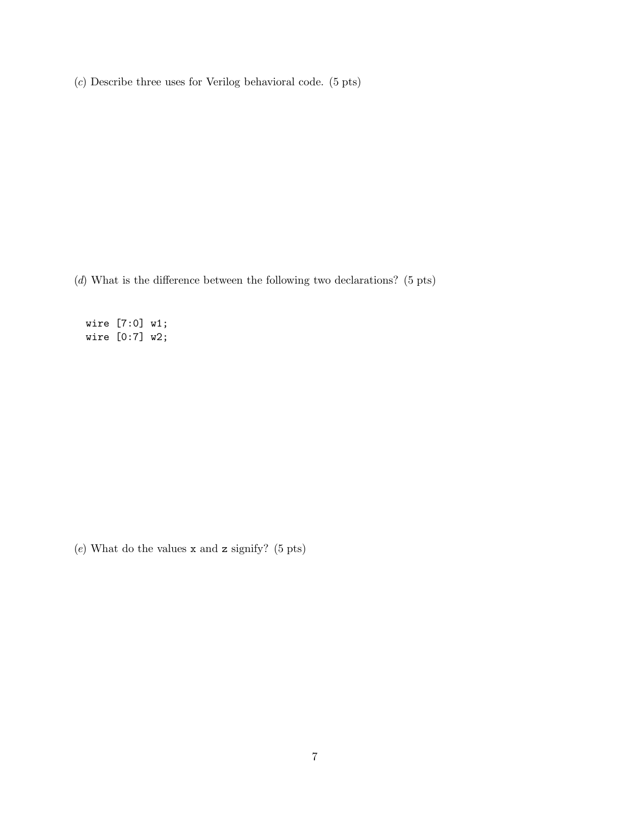(c) Describe three uses for Verilog behavioral code. (5 pts)

(d) What is the difference between the following two declarations? (5 pts)

wire [7:0] w1; wire [0:7] w2;

 $(e)$  What do the values x and z signify? (5 pts)